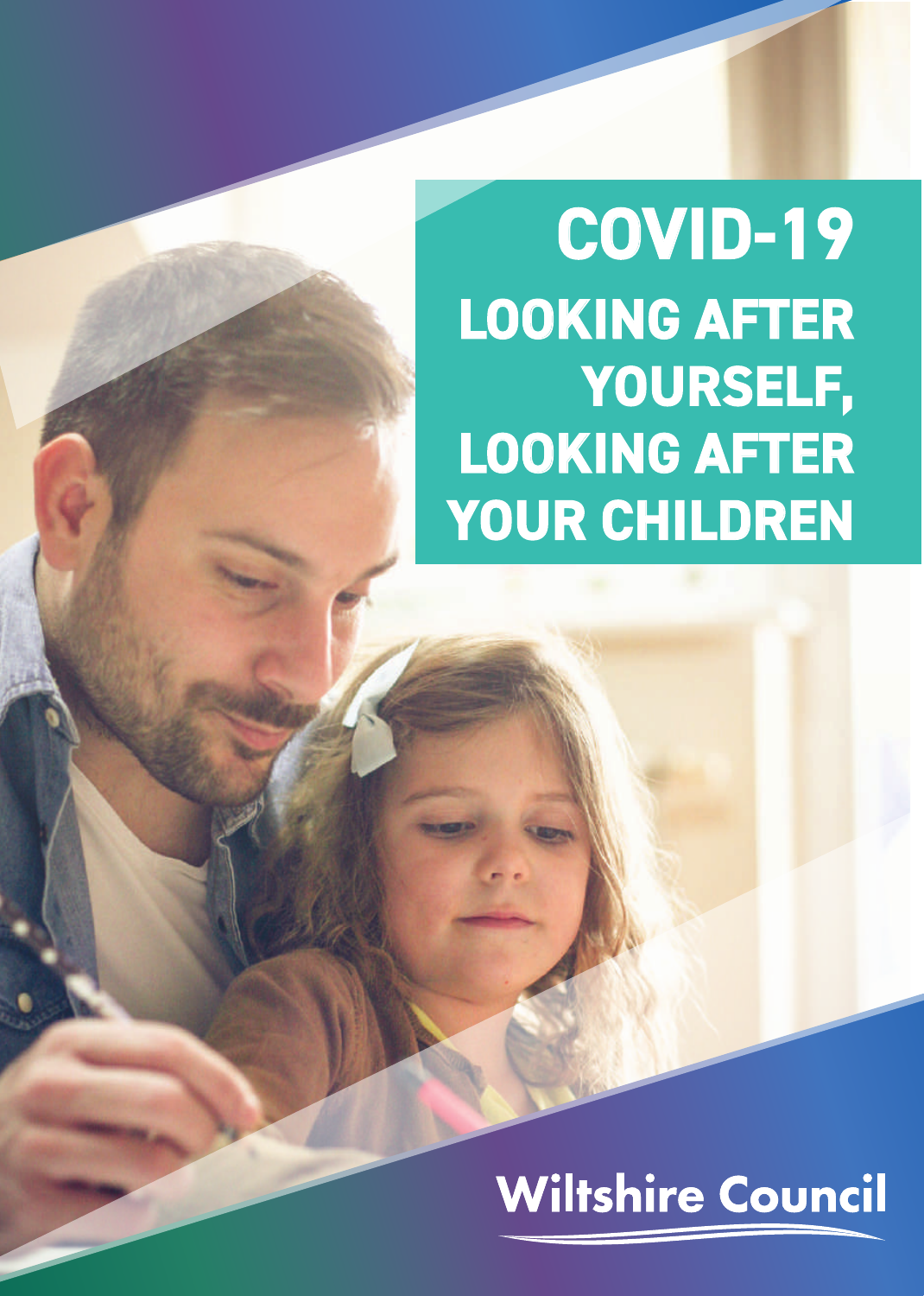# **COVID-19 LOOKING AFTER ,YOURSELF LOOKING AFTER** YOUR CHILDREN

# **Wiltshire Council**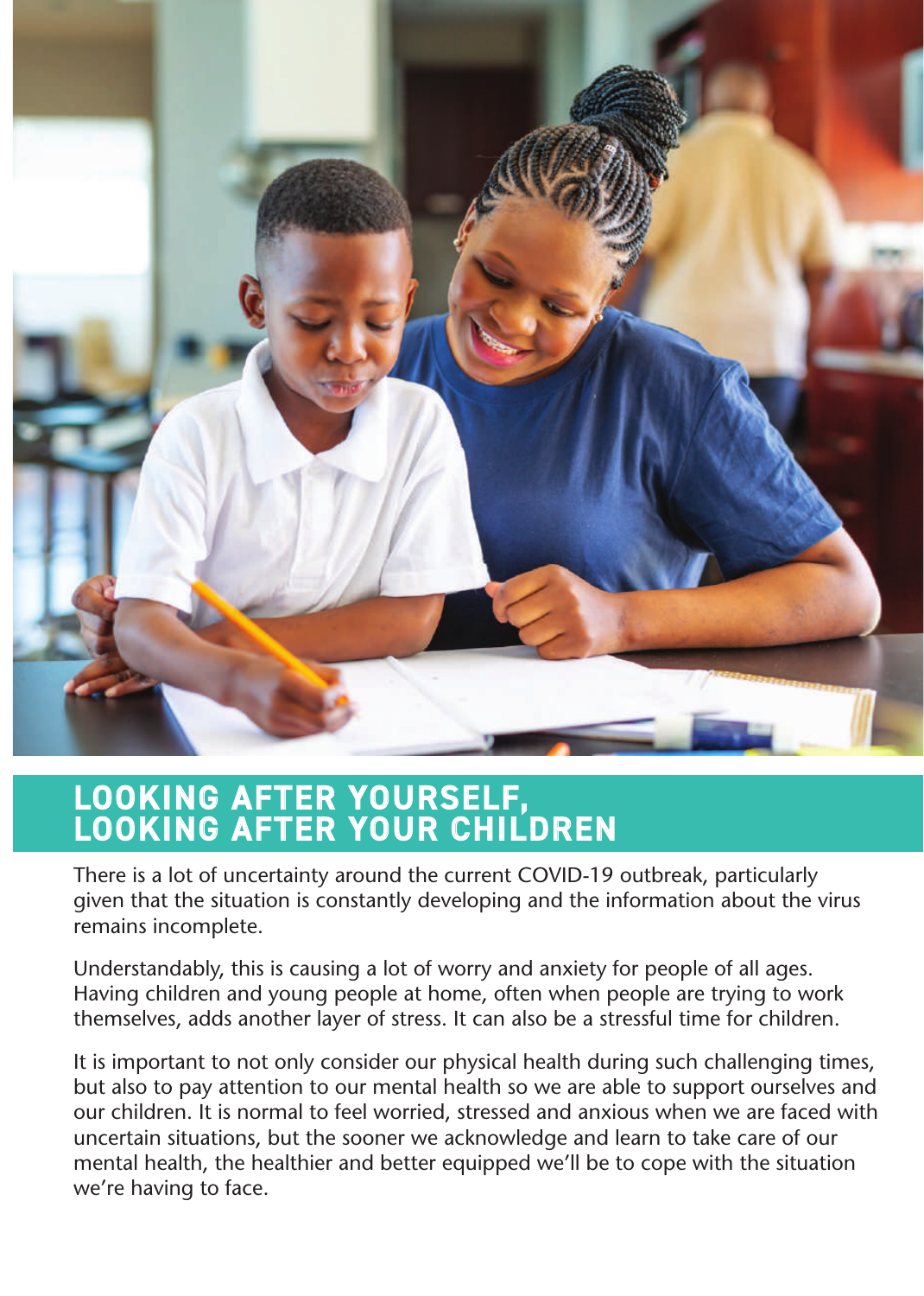

# LOOKING AFTER YOURSELF,<br>LOOKING AFTER YOUR CHILDREN

There is a lot of uncertainty around the current COVID-19 outbreak, particularly given that the situation is constantly developing and the information about the virus remains incomplete.

Understandably, this is causing a lot of worry and anxiety for people of all ages. Having children and young people at home, often when people are trying to work themselves, adds another layer of stress. It can also be a stressful time for children.

It is important to not only consider our physical health during such challenging times, but also to pay attention to our mental health so we are able to support ourselves and our children. It is normal to feel worried, stressed and anxious when we are faced with uncertain situations, but the sooner we acknowledge and learn to take care of our mental health, the healthier and better equipped we'll be to cope with the situation we're having to face.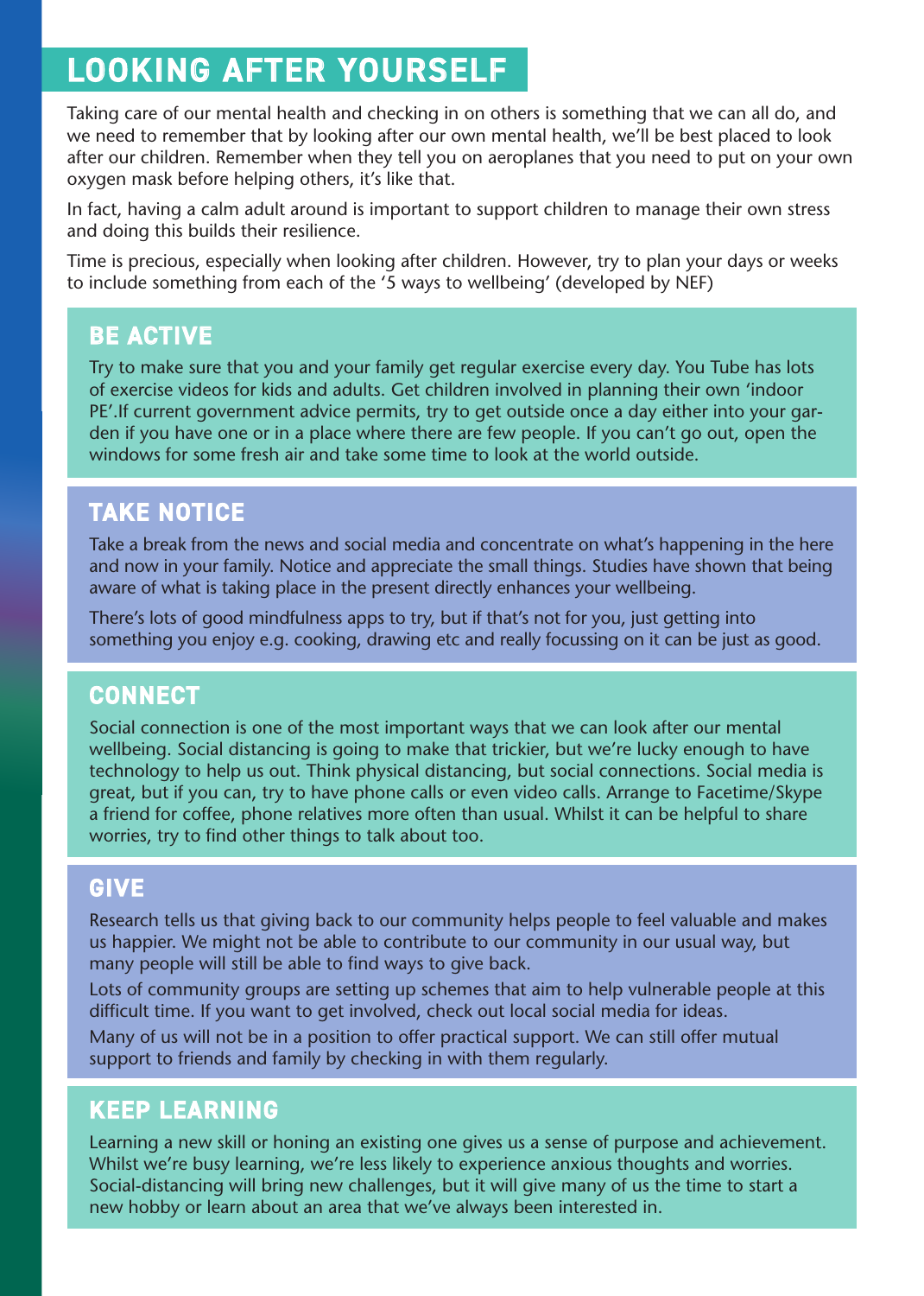## LOOKING AFTER YOURSELF

Taking care of our mental health and checking in on others is something that we can all do, and we need to remember that by looking after our own mental health, we'll be best placed to look after our children. Remember when they tell you on aeroplanes that you need to put on your own oxygen mask before helping others, it's like that.

In fact, having a calm adult around is important to support children to manage their own stress and doing this builds their resilience.

Time is precious, especially when looking after children. However, try to plan your days or weeks to include something from each of the '5 ways to wellbeing' (developed by NEF)

### **BE ACTIVE**

Try to make sure that you and your family get regular exercise every day. You Tube has lots of exercise videos for kids and adults. Get children involved in planning their own 'indoor den if you have one or in a place where there are few people. If you can't go out, open the PE'. If current government advice permits, try to get outside once a day either into your garwindows for some fresh air and take some time to look at the world outside.

### **TAKE NOTICE**

Take a break from the news and social media and concentrate on what's happening in the here and now in your family. Notice and appreciate the small things. Studies have shown that being aware of what is taking place in the present directly enhances your wellbeing.

There's lots of good mindfulness apps to try, but if that's not for you, just getting into something you enjoy e.g. cooking, drawing etc and really focussing on it can be just as good.

### **CONNECT**

Social connection is one of the most important ways that we can look after our mental wellbeing. Social distancing is going to make that trickier, but we're lucky enough to have technology to help us out. Think physical distancing, but social connections. Social media is great, but if you can, try to have phone calls or even video calls. Arrange to Facetime/Skype a friend for coffee, phone relatives more often than usual. Whilst it can be helpful to share worries, try to find other things to talk about too.

### **GIVE**

Research tells us that giving back to our community helps people to feel valuable and makes us happier. We might not be able to contribute to our community in our usual way, but many people will still be able to find ways to give back.

Lots of community groups are setting up schemes that aim to help vulnerable people at this difficult time. If you want to get involved, check out local social media for ideas.

Many of us will not be in a position to offer practical support. We can still offer mutual support to friends and family by checking in with them regularly.

### **KEEP LEARNING**

Learning a new skill or honing an existing one gives us a sense of purpose and achievement. Whilst we're busy learning, we're less likely to experience anxious thoughts and worries. Social-distancing will bring new challenges, but it will give many of us the time to start a new hobby or learn about an area that we've always been interested in.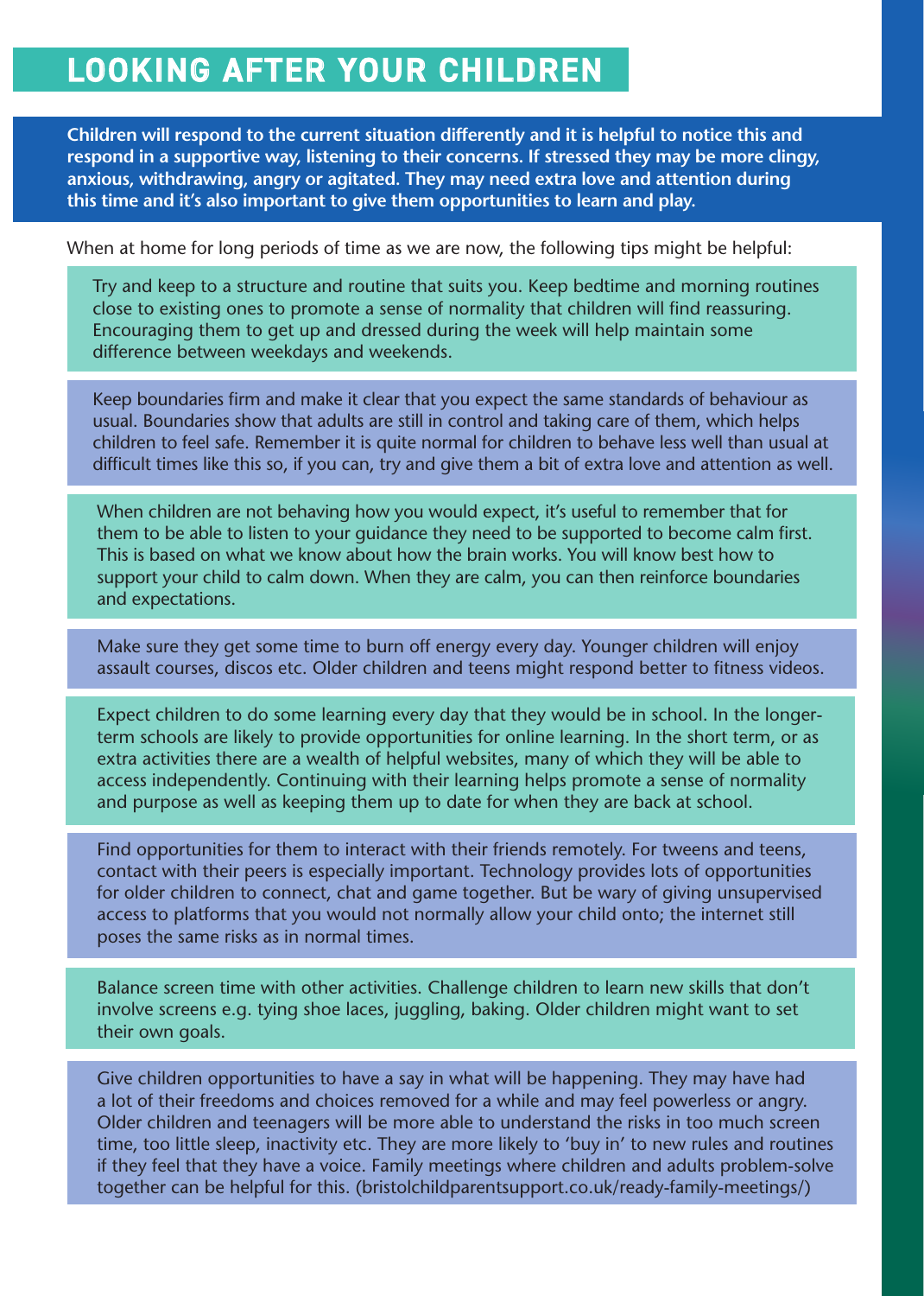## LOOKING AFTER YOUR CHILDREN

Children will respond to the current situation differently and it is helpful to notice this and respond in a supportive way, listening to their concerns. If stressed they may be more clingy, anxious, withdrawing, angry or agitated. They may need extra love and attention during this time and it's also important to give them opportunities to learn and play.

When at home for long periods of time as we are now, the following tips might be helpful:

Try and keep to a structure and routine that suits you. Keep bedtime and morning routines close to existing ones to promote a sense of normality that children will find reassuring. Encouraging them to get up and dressed during the week will help maintain some difference between weekdays and weekends.

Keep boundaries firm and make it clear that you expect the same standards of behaviour as usual. Boundaries show that adults are still in control and taking care of them, which helps children to feel safe. Remember it is quite normal for children to behave less well than usual at difficult times like this so, if you can, try and give them a bit of extra love and attention as well.

When children are not behaving how you would expect, it's useful to remember that for them to be able to listen to your quidance they need to be supported to become calm first. This is based on what we know about how the brain works. You will know best how to support your child to calm down. When they are calm, you can then reinforce boundaries and expectations.

Make sure they get some time to burn off energy every day. Younger children will enjoy assault courses, discos etc. Older children and teens might respond better to fitness videos.

term schools are likely to provide opportunities for online learning. In the short term, or as Expect children to do some learning every day that they would be in school. In the longerextra activities there are a wealth of helpful websites, many of which they will be able to access independently. Continuing with their learning helps promote a sense of normality and purpose as well as keeping them up to date for when they are back at school.

Find opportunities for them to interact with their friends remotely. For tweens and teens, contact with their peers is especially important. Technology provides lots of opportunities for older children to connect, chat and game together. But be wary of giving unsupervised access to platforms that you would not normally allow your child onto; the internet still poses the same risks as in normal times.

Balance screen time with other activities. Challenge children to learn new skills that don't involve screens e.g. tying shoe laces, juggling, baking. Older children might want to set their own goals.

Give children opportunities to have a say in what will be happening. They may have had a lot of their freedoms and choices removed for a while and may feel powerless or angry. Older children and teenagers will be more able to understand the risks in too much screen time, too little sleep, inactivity etc. They are more likely to 'buy in' to new rules and routines if they feel that they have a voice. Family meetings where children and adults problem-solve together can be helpful for this. (bristolchildparentsupport.co.uk/ready-family-meetings/)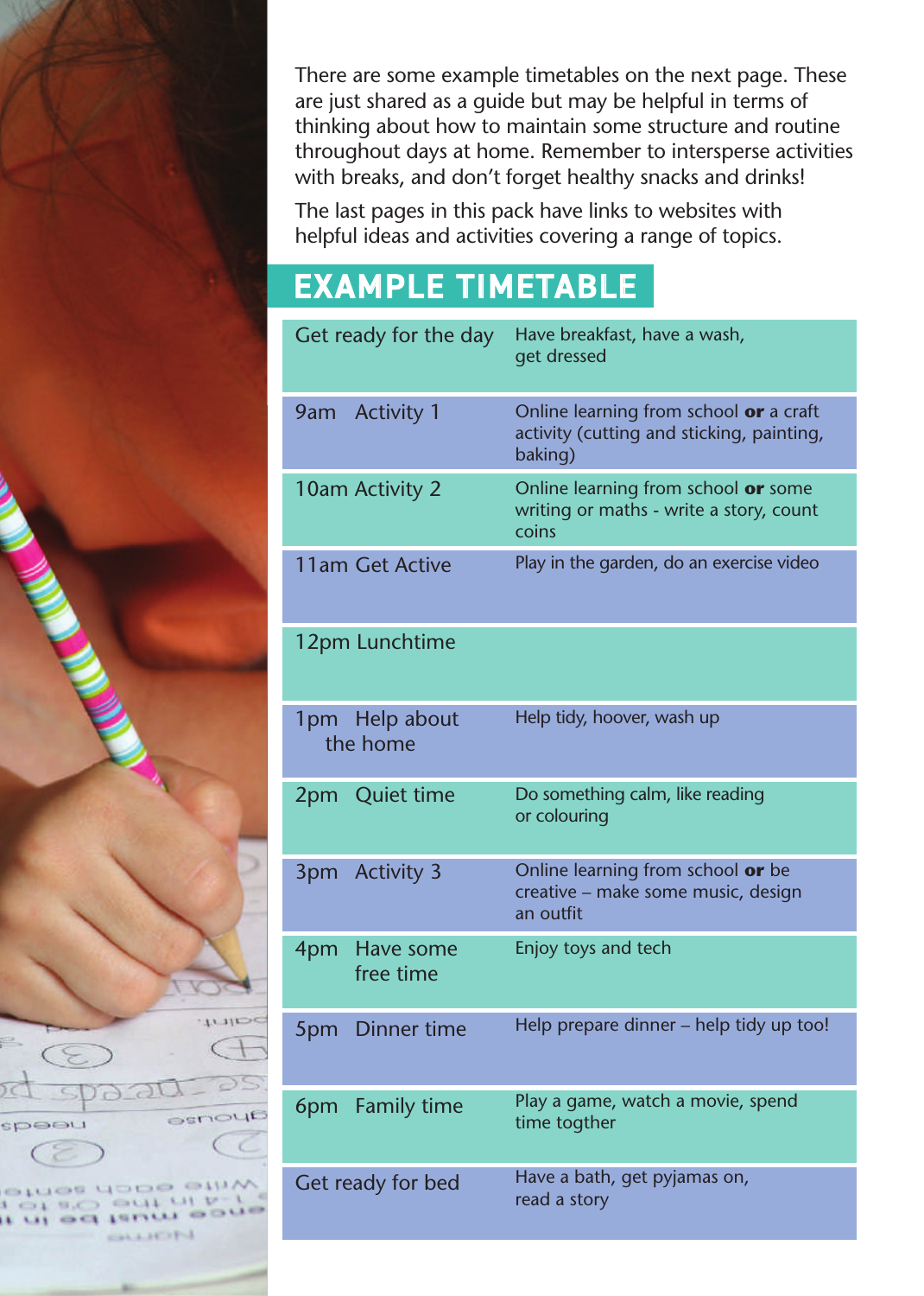There are some example timetables on the next page. These are just shared as a guide but may be helpful in terms of thinking about how to maintain some structure and routine throughout days at home. Remember to intersperse activities with breaks, and don't forget healthy snacks and drinks!

The last pages in this pack have links to websites with helpful ideas and activities covering a range of topics.

## **EXAMPLE TIMETABLE**

 $\sqrt{1}$ 

**CISALIA** 

 $1.11 - 1.7 - 1.$ 

 $\Rightarrow$ 

speeu

tries dock 0190 041

**OF SCIENCE** 

**CALIFIED** 

| Get ready for the day         | Have breakfast, have a wash,<br>get dressed                                                    |
|-------------------------------|------------------------------------------------------------------------------------------------|
| 9am Activity 1                | Online learning from school or a craft<br>activity (cutting and sticking, painting,<br>baking) |
| 10am Activity 2               | Online learning from school or some<br>writing or maths - write a story, count<br>coins        |
| 11am Get Active               | Play in the garden, do an exercise video                                                       |
| 12pm Lunchtime                |                                                                                                |
| 1pm Help about<br>the home    | Help tidy, hoover, wash up                                                                     |
| 2pm Quiet time                | Do something calm, like reading<br>or colouring                                                |
| <b>Activity 3</b><br>3pm      | Online learning from school or be<br>creative – make some music, design<br>an outfit           |
| 4pm<br>Have some<br>free time | Enjoy toys and tech                                                                            |
| 5pm Dinner time               | Help prepare dinner – help tidy up too!                                                        |
| <b>Family time</b><br>6pm     | Play a game, watch a movie, spend<br>time togther                                              |
| Get ready for bed             | Have a bath, get pyjamas on,<br>read a story                                                   |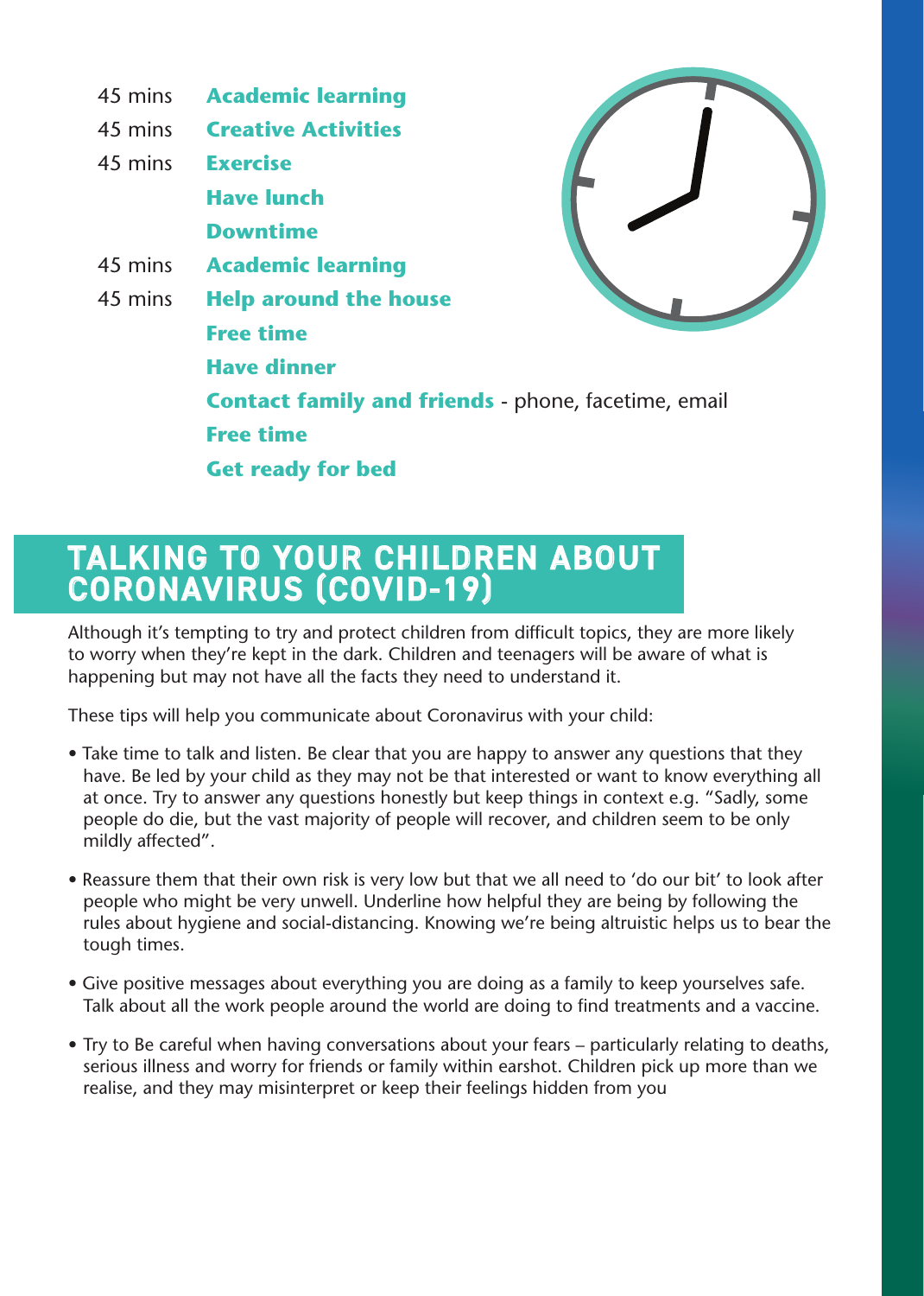

# TALKING TO YOUR CHILDREN ABOUT<br>CORONAVIRUS (COVID-19)

Although it's tempting to try and protect children from difficult topics, they are more likely to worry when they're kept in the dark. Children and teenagers will be aware of what is happening but may not have all the facts they need to understand it.

These tips will help you communicate about Coronavirus with your child:

- Take time to talk and listen. Be clear that you are happy to answer any questions that they have. Be led by your child as they may not be that interested or want to know everything all at once. Try to answer any questions honestly but keep things in context e.g. "Sadly, some people do die, but the vast majority of people will recover, and children seem to be only mildly affected".
- Reassure them that their own risk is very low but that we all need to 'do our bit' to look after people who might be very unwell. Underline how helpful they are being by following the rules about hygiene and social-distancing. Knowing we're being altruistic helps us to bear the tough times.
- Give positive messages about everything you are doing as a family to keep yourselves safe. Talk about all the work people around the world are doing to find treatments and a vaccine.
- Try to Be careful when having conversations about your fears particularly relating to deaths, serious illness and worry for friends or family within earshot. Children pick up more than we realise, and they may misinterpret or keep their feelings hidden from you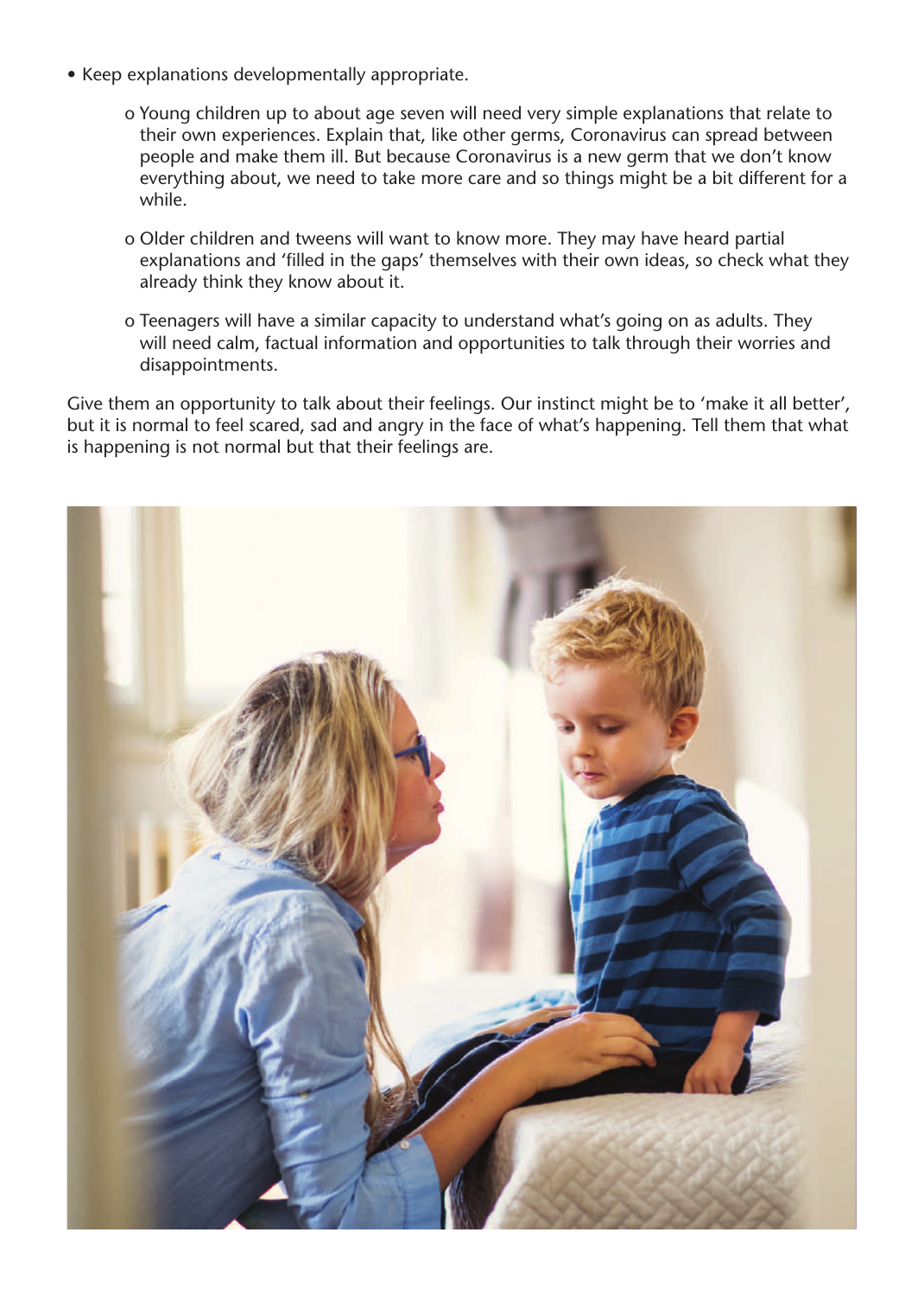- Keep explanations developmentally appropriate.
	- o Young children up to about age seven will need very simple explanations that relate to their own experiences. Explain that, like other germs, Coronavirus can spread between people and make them ill. But because Coronavirus is a new germ that we don't know everything about, we need to take more care and so things might be a bit different for a .while
	- o Older children and tweens will want to know more. They may have heard partial explanations and 'filled in the gaps' themselves with their own ideas, so check what they already think they know about it.
	- o Teenagers will have a similar capacity to understand what's going on as adults. They will need calm, factual information and opportunities to talk through their worries and disappointments.

Give them an opportunity to talk about their feelings. Our instinct might be to 'make it all better', but it is normal to feel scared, sad and angry in the face of what's happening. Tell them that what is happening is not normal but that their feelings are.

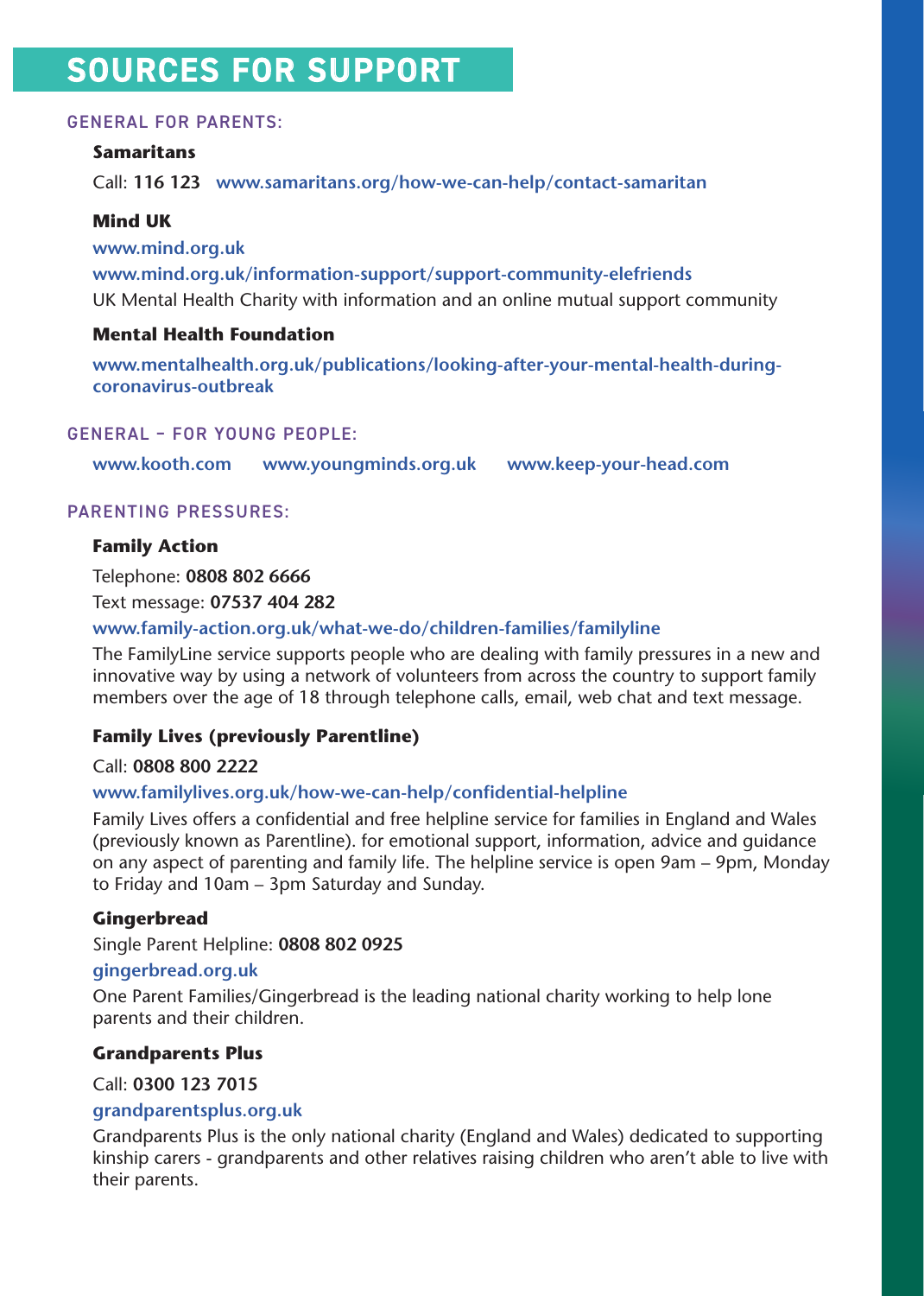## SOURCES FOR SUPPORT

#### **GENERAL FOR PARENTS:**

#### **Samaritans**

Call: 116 123 www.samaritans.org/how-we-can-help/contact-samaritan

#### **Mind UK**

www.mind.org.uk www.mind.org.uk/information-support/support-community-elefriends UK Mental Health Charity with information and an online mutual support community

#### **Mental Health Foundation**

www.mentalhealth.org.uk/publications/looking-after-your-mental-health-during-<br>coronavirus-outbreak

#### GENERAL - FOR YOUNG PEOPLE:

www.kooth.com www.youngminds.org.uk www.keep-your-head.com

#### PARENTING PRESSURES:

#### **Family Action**

Telephone: 0808 802 6666

Text message: 07537 404 282

#### www.family-action.org.uk/what-we-do/children-families/familyline

The Family Line service supports people who are dealing with family pressures in a new and innovative way by using a network of volunteers from across the country to support family members over the age of 18 through telephone calls, email, web chat and text message.

#### **Family Lives (previously Parentline)**

#### Call: 0808 800 2222

#### www.familylives.org.uk/how-we-can-help/confidential-helpline

Family Lives offers a confidential and free helpline service for families in England and Wales (previously known as Parentline). for emotional support, information, advice and quidance on any aspect of parenting and family life. The helpline service is open 9am - 9pm, Monday to Friday and  $10$ am –  $3$ pm Saturday and Sunday.

#### **Gingerbread**

Single Parent Helpline: 0808 802 0925

#### **[uk.org.gingerbread](gingerbread.org.uk)**

One Parent Families/Gingerbread is the leading national charity working to help lone parents and their children.

#### **Grandparents Plus**

Call: 0300 123 7015

#### **[uk.org.grandparentsplus](grandparentsplus.org.uk)**

Grandparents Plus is the only national charity (England and Wales) dedicated to supporting kinship carers - grandparents and other relatives raising children who aren't able to live with their parents.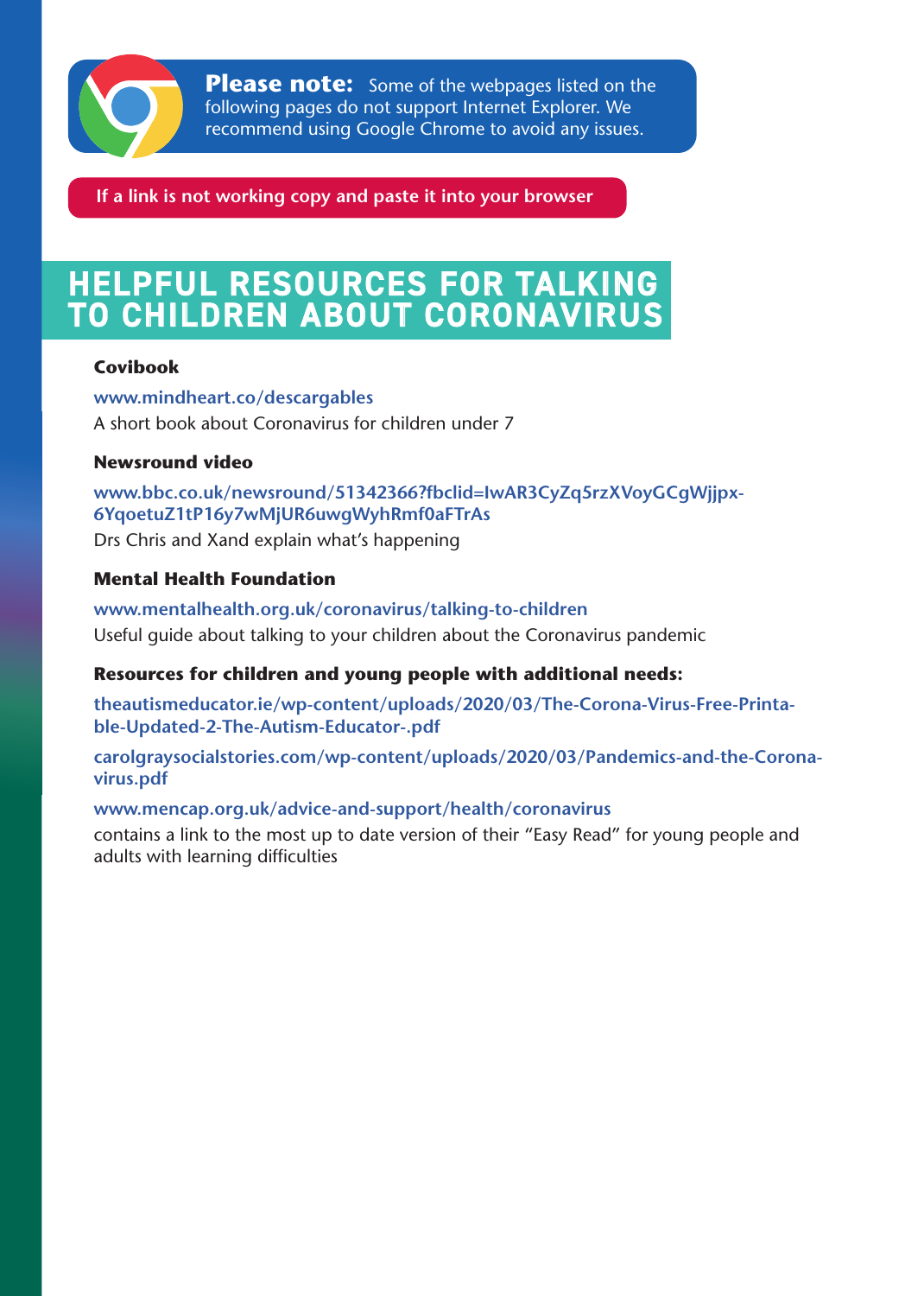

**Please note:** Some of the webpages listed on the following pages do not support Internet Explorer. We recommend using Google Chrome to avoid any issues.

If a link is not working copy and paste it into your browser

# HELPFUL RESOURCES FOR TALKING<br>TO CHILDREN ABOUT CORONAVIRUS

#### **Covibook**

www.mindheart.co/descargables A short book about Coronavirus for children under 7

#### **Newsround** video

www.bbc.co.uk/newsround/51342366?fbclid=IwAR3CyZq5rzXVoyGCgWjjpx-<br>6YqoetuZ1tP16y7wMjUR6uwgWyhRmf0aFTrAs

Drs Chris and Xand explain what's happening

#### **Mental Health Foundation**

www.mentalhealth.org.uk/coronavirus/talking-to-children Useful guide about talking to your children about the Coronavirus pandemic

#### **Resources for children and young people with additional needs:**

theautismeducator.ie/wp-content/uploads/2020/03/The-Corona-Virus-Free-Printa-<br>ble-Updated-2-The-Autism-Educator-.pdf

carolgraysocialstories.com/wp-content/uploads/2020/03/Pandemics-and-the-Corona-<br>virus.pdf

#### www.mencap.org.uk/advice-and-support/health/coronavirus

contains a link to the most up to date version of their "Easy Read" for young people and adults with learning difficulties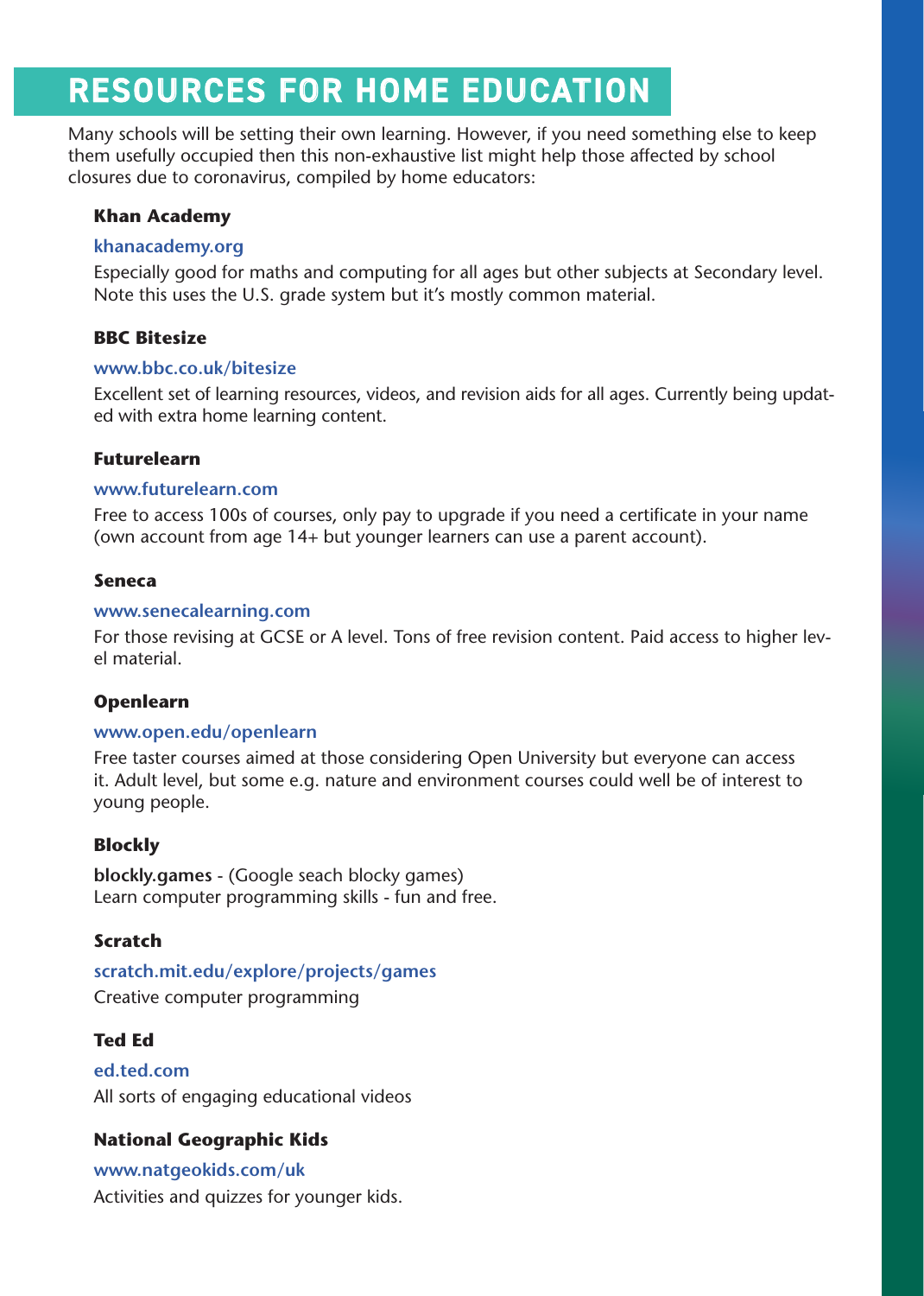## **RESOURCES FOR HOME EDUCATION**

Many schools will be setting their own learning. However, if you need something else to keep them usefully occupied then this non-exhaustive list might help those affected by school closures due to coronavirus, compiled by home educators:

#### **Khan Academy**

#### **[org.khanacademy](https://www.khanacademy.org/)**

Especially good for maths and computing for all ages but other subjects at Secondary level. Note this uses the U.S. grade system but it's mostly common material.

#### **BBC** Bitesize

#### www.bbc.co.uk/bitesize

Excellent set of learning resources, videos, and revision aids for all ages. Currently being updat-<br>ed with extra home learning content.

#### **Futurelearn**

#### www.futurelearn.com

Free to access 100s of courses, only pay to upgrade if you need a certificate in your name (own account from age  $14+$  but younger learners can use a parent account).

#### **Seneca**

#### www.senecalearning.com

For those revising at GCSE or A level. Tons of free revision content. Paid access to higher lev-<br>el material.

#### **Openlearn**

#### www.open.edu/openlearn

Free taster courses aimed at those considering Open University but everyone can access it. Adult level, but some e.g. nature and environment courses could well be of interest to young people.

#### **Blockly**

**blockly.games** - (Google seach blocky games) Learn computer programming skills - fun and free.

#### **Scratch**

scratch.mit.edu/explore/projects/games Creative computer programming

#### **Ed Ted**

**[com.ted.ed](ed.ted.com)** All sorts of engaging educational videos

#### **National Geographic Kids**

www.natgeokids.com/uk Activities and quizzes for younger kids.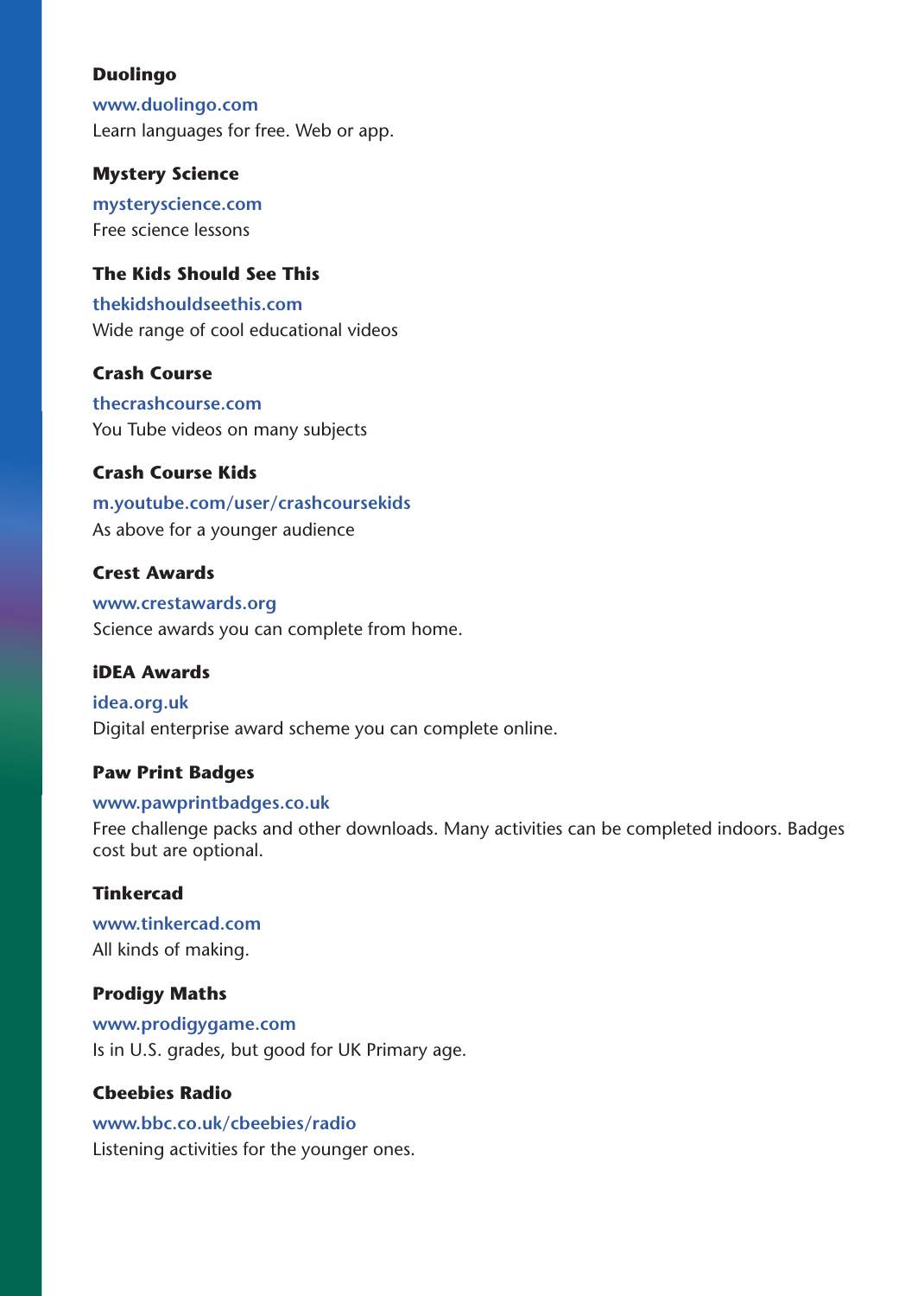#### **Duolingo**

www.duolingo.com Learn languages for free. Web or app.

#### **Mystery Science**

mysteryscience.com Free science lessons

#### **The Kids Should See This**

**[com.thekidshouldseethis](https://thekidshouldseethis.com/)** Wide range of cool educational videos

#### **Crash Course**

**[com.thecrashcourse](https://thecrashcourse.com/)** You Tube videos on many subjects

#### **Crash Course Kids**

m.youtube.com/user/crashcoursekids As above for a younger audience

#### **Crest Awards**

www.crestawards.org Science awards you can complete from home.

#### **iDEA** Awards

idea.org.uk Digital enterprise award scheme you can complete online.

#### **Paw Print Badges**

#### www.pawprintbadges.co.uk

Free challenge packs and other downloads. Many activities can be completed indoors. Badges cost but are optional.

#### **Tinkercad**

www.tinkercad.com All kinds of making.

#### **Prodigy Maths**

**[com.prodigygame.www](www.prodigygame.com)** Is in U.S. grades, but good for UK Primary age.

#### **Cbeebies Radio**

www.bbc.co.uk/cbeebies/radio Listening activities for the younger ones.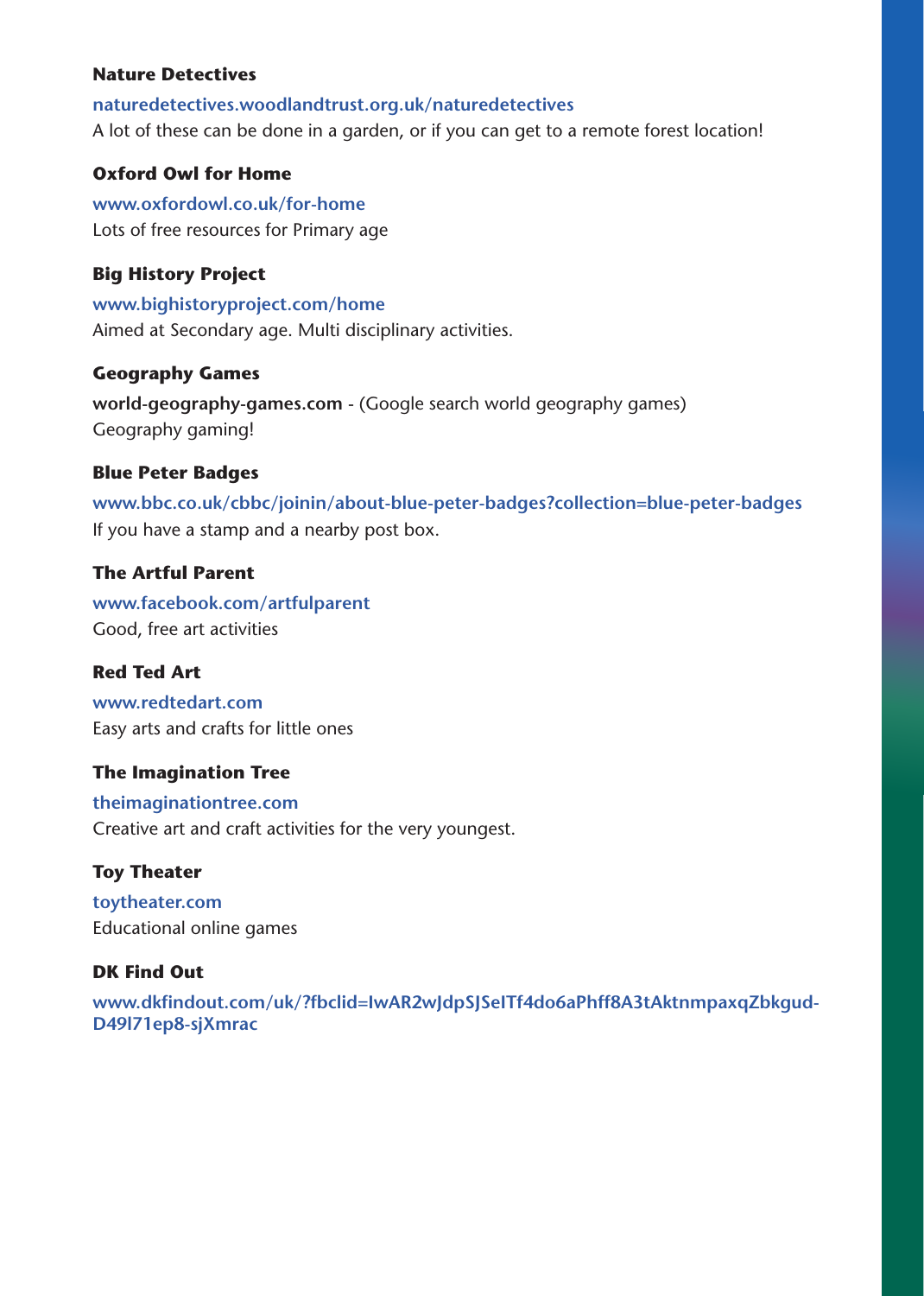#### **Nature Detectives**

naturedetectives.woodlandtrust.org.uk/naturedetectives A lot of these can be done in a garden, or if you can get to a remote forest location!

#### **Oxford Owl for Home**

www.oxfordowl.co.uk/for-home Lots of free resources for Primary age

#### **Big History Project**

www.bighistoryproject.com/home Aimed at Secondary age. Multi disciplinary activities.

#### **Geography Games**

world-geography-games.com - (Google search world geography games) Geography gaming!

#### **Blue Peter Badges**

www.bbc.co.uk/cbbc/joinin/about-blue-peter-badges?collection=blue-peter-badges If you have a stamp and a nearby post box.

#### **The Artful Parent**

www.facebook.com/artfulparent Good, free art activities

#### **Red Ted Art**

www.redtedart.com Easy arts and crafts for little ones

#### **The Imagination Tree**

**[com.theimaginationtree](https://theimaginationtree.com/)** Creative art and craft activities for the very youngest.

#### **Toy Theater**

toytheater.com Educational online games

#### **DK Find Out**

www.dkfindout.com/uk/?fbclid=IwAR2wJdpSJSeITf4do6aPhff8A3tAktnmpaxqZbkgud-<br>D49I71ep8-sjXmrac